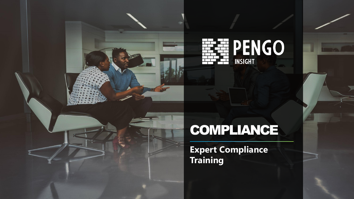



# COMPLIANCE

**Expert Compliance Training**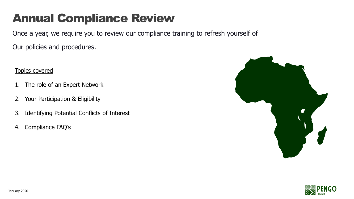#### Annual Compliance Review

Once a year, we require you to review our compliance training to refresh yourself of

Our policies and procedures.

Topics covered

- 1. The role of an Expert Network
- 2. Your Participation & Eligibility
- 3. Identifying Potential Conflicts of Interest
- 4. Compliance FAQ's



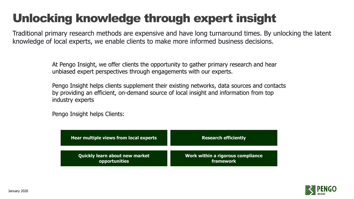#### Unlocking knowledge through expert insight

Traditional primary research methods are expensive and have long turnaround times. By unlocking the latent knowledge of local experts, we enable clients to make more informed business decisions.

> At Pengo Insight, we offer clients the opportunity to gather primary research and hear unbiased expert perspectives through engagements with our experts.

Pengo Insight helps clients supplement their existing networks, data sources and contacts by providing an efficient, on-demand source of local insight and information from top industry experts

Pengo Insight helps Clients:

| Hear multiple views from local experts | <b>Research efficiently</b>       |
|----------------------------------------|-----------------------------------|
| <b>Quickly learn about new market</b>  | Work within a rigorous compliance |
| opportunities                          | framework                         |

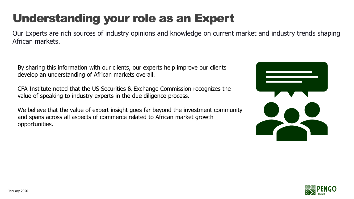### Understanding your role as an Expert

Our Experts are rich sources of industry opinions and knowledge on current market and industry trends shaping African markets.

By sharing this information with our clients, our experts help improve our clients develop an understanding of African markets overall.

CFA Institute noted that the US Securities & Exchange Commission recognizes the value of speaking to industry experts in the due diligence process.

We believe that the value of expert insight goes far beyond the investment community and spans across all aspects of commerce related to African market growth opportunities.



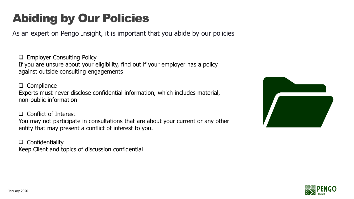#### Abiding by Our Policies

As an expert on Pengo Insight, it is important that you abide by our policies

❑ Employer Consulting Policy If you are unsure about your eligibility, find out if your employer has a policy against outside consulting engagements

❑ Compliance Experts must never disclose confidential information, which includes material, non-public information

❑ Conflict of Interest You may not participate in consultations that are about your current or any other entity that may present a conflict of interest to you.

❑ Confidentiality Keep Client and topics of discussion confidential



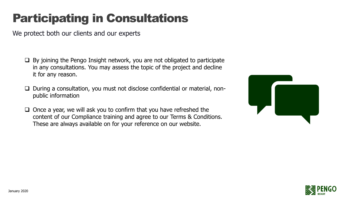### Participating in Consultations

We protect both our clients and our experts

- ❑ By joining the Pengo Insight network, you are not obligated to participate in any consultations. You may assess the topic of the project and decline it for any reason.
- ❑ During a consultation, you must not disclose confidential or material, nonpublic information
- ❑ Once a year, we will ask you to confirm that you have refreshed the content of our Compliance training and agree to our Terms & Conditions. These are always available on for your reference on our website.



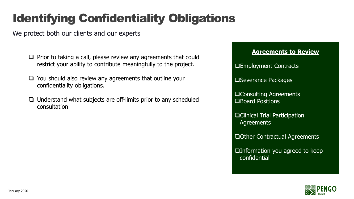### Identifying Confidentiality Obligations

We protect both our clients and our experts

- ❑ Prior to taking a call, please review any agreements that could restrict your ability to contribute meaningfully to the project.
- ❑ You should also review any agreements that outline your confidentiality obligations.
- ❑ Understand what subjects are off-limits prior to any scheduled consultation

## **Agreements to Review**

❑Employment Contracts

❑Severance Packages

❑Consulting Agreements ❑Board Positions

- ❑Clinical Trial Participation Agreements
- ❑Other Contractual Agreements
- ❑Information you agreed to keep confidential

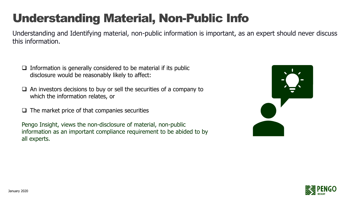#### Understanding Material, Non-Public Info

Understanding and Identifying material, non-public information is important, as an expert should never discuss this information.

- $\Box$  Information is generally considered to be material if its public disclosure would be reasonably likely to affect:
- ❑ An investors decisions to buy or sell the securities of a company to which the information relates, or
- $\Box$  The market price of that companies securities

Pengo Insight, views the non-disclosure of material, non-public information as an important compliance requirement to be abided to by all experts.



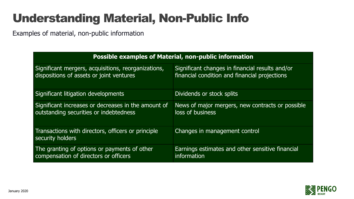#### Understanding Material, Non-Public Info

Examples of material, non-public information

| <b>Possible examples of Material, non-public information</b>           |                                                  |
|------------------------------------------------------------------------|--------------------------------------------------|
| Significant mergers, acquisitions, reorganizations,                    | Significant changes in financial results and/or  |
| dispositions of assets or joint ventures                               | financial condition and financial projections    |
| Significant litigation developments                                    | Dividends or stock splits                        |
| Significant increases or decreases in the amount of                    | News of major mergers, new contracts or possible |
| outstanding securities or indebtedness                                 | loss of business                                 |
| Transactions with directors, officers or principle<br>security holders | Changes in management control                    |
| The granting of options or payments of other                           | Earnings estimates and other sensitive financial |
| compensation of directors or officers                                  | information                                      |

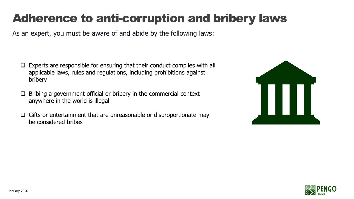#### Adherence to anti-corruption and bribery laws

As an expert, you must be aware of and abide by the following laws:

- ❑ Experts are responsible for ensuring that their conduct complies with all applicable laws, rules and regulations, including prohibitions against bribery
- $\Box$  Bribing a government official or bribery in the commercial context anywhere in the world is illegal
- ❑ Gifts or entertainment that are unreasonable or disproportionate may be considered bribes



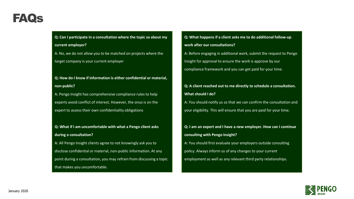#### FAQs

**Q: Can I participate in a consultation where the topic so about my current employer?**

A: No, we do not allow you to be matched on projects where the target company is your current employer

**Q: How do I know if information is either confidential or material, non-public?**

A: Pengo Insight has comprehensive compliance rules to help experts avoid conflict of interest. However, the onus is on the expert to assess their own confidentiality obligations

**Q: What if I am uncomfortable with what a Pengo client asks during a consultation?**

A: All Pengo Insight clients agree to not knowingly ask you to disclose confidential or material, non-public information. At any point during a consultation, you may refrain from discussing a topic that makes you uncomfortable.

**Q: What happens if a client asks me to do additional follow-up work after our consultations?** A: Before engaging in additional work, submit the request to Pengo Insight for approval to ensure the work is approve by our compliance framework and you can get paid for your time.

**Q: A client reached out to me directly to schedule a consultation. What should I do?**

A: You should notify us so that we can confirm the consultation and your eligibility. This will ensure that you are paid for your time.

**Q: I am an expert and I have a new employer. How can I continue consulting with Pengo Insight?** A: You should first evaluate your employers outside consulting policy. Always inform us of any changes to your current employment as well as any relevant third party relationships.